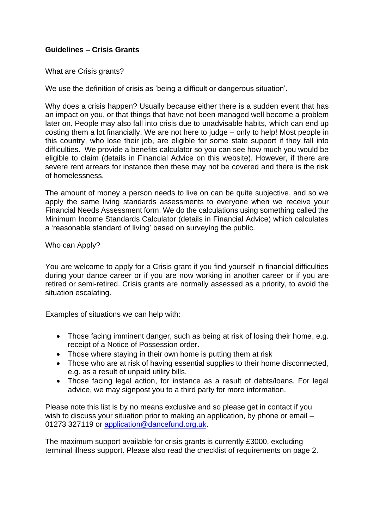## **Guidelines – Crisis Grants**

What are Crisis grants?

We use the definition of crisis as 'being a difficult or dangerous situation'.

Why does a crisis happen? Usually because either there is a sudden event that has an impact on you, or that things that have not been managed well become a problem later on. People may also fall into crisis due to unadvisable habits, which can end up costing them a lot financially. We are not here to judge – only to help! Most people in this country, who lose their job, are eligible for some state support if they fall into difficulties. We provide a benefits calculator so you can see how much you would be eligible to claim (details in Financial Advice on this website). However, if there are severe rent arrears for instance then these may not be covered and there is the risk of homelessness.

The amount of money a person needs to live on can be quite subjective, and so we apply the same living standards assessments to everyone when we receive your Financial Needs Assessment form. We do the calculations using something called the Minimum Income Standards Calculator (details in Financial Advice) which calculates a 'reasonable standard of living' based on surveying the public.

Who can Apply?

You are welcome to apply for a Crisis grant if you find yourself in financial difficulties during your dance career or if you are now working in another career or if you are retired or semi-retired. Crisis grants are normally assessed as a priority, to avoid the situation escalating.

Examples of situations we can help with:

- Those facing imminent danger, such as being at risk of losing their home, e.g. receipt of a Notice of Possession order.
- Those where staying in their own home is putting them at risk
- Those who are at risk of having essential supplies to their home disconnected, e.g. as a result of unpaid utility bills.
- Those facing legal action, for instance as a result of debts/loans. For legal advice, we may signpost you to a third party for more information.

Please note this list is by no means exclusive and so please get in contact if you wish to discuss your situation prior to making an application, by phone or email – 01273 327119 or [application@dancefund.org.uk.](mailto:application@dancefund.org.uk)

The maximum support available for crisis grants is currently £3000, excluding terminal illness support. Please also read the checklist of requirements on page 2.